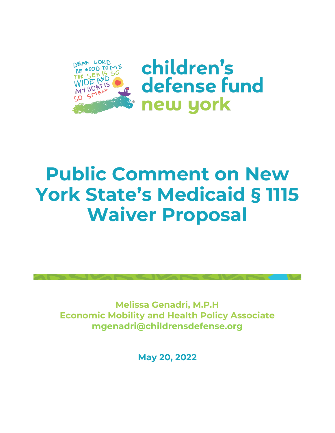

children's defense fund new york

# **Public Comment on New York State's Medicaid § 1115 Waiver Proposal**

**Melissa Genadri, M.P.H Economic Mobility and Health Policy Associate mgenadri@childrensdefense.org**

**May 20, 2022**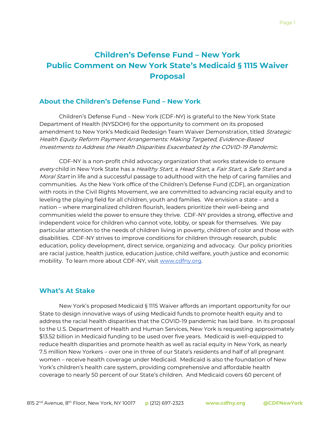## **Children's Defense Fund – New York Public Comment on New York State's Medicaid § 1115 Waiver Proposal**

#### **About the Children's Defense Fund – New York**

Children's Defense Fund – New York (CDF-NY) is grateful to the New York State Department of Health (NYSDOH) for the opportunity to comment on its proposed amendment to New York's Medicaid Redesign Team Waiver Demonstration, titled Strategic Health Equity Reform Payment Arrangements: Making Targeted, Evidence-Based Investments to Address the Health Disparities Exacerbated by the COVID-19 Pandemic.

CDF-NY is a non-profit child advocacy organization that works statewide to ensure every child in New York State has a Healthy Start, a Head Start, a Fair Start, a Safe Start and a Moral Start in life and a successful passage to adulthood with the help of caring families and communities. As the New York office of the Children's Defense Fund (CDF), an organization with roots in the Civil Rights Movement, we are committed to advancing racial equity and to leveling the playing field for all children, youth and families. We envision a state – and a nation – where marginalized children flourish, leaders prioritize their well-being and communities wield the power to ensure they thrive. CDF-NY provides a strong, effective and independent voice for children who cannot vote, lobby, or speak for themselves. We pay particular attention to the needs of children living in poverty, children of color and those with disabilities. CDF-NY strives to improve conditions for children through research, public education, policy development, direct service, organizing and advocacy. Our policy priorities are racial justice, health justice, education justice, child welfare, youth justice and economic mobility. To learn more about CDF-NY, visi[t](http://www.cdfny.org/) [www.cdfny.org.](http://www.cdfny.org/)

#### **What's At Stake**

New York's proposed Medicaid § 1115 Waiver affords an important opportunity for our State to design innovative ways of using Medicaid funds to promote health equity and to address the racial health disparities that the COVID-19 pandemic has laid bare. In its proposal to the U.S. Department of Health and Human Services, New York is requesting approximately \$13.52 billion in Medicaid funding to be used over five years. Medicaid is well-equipped to reduce health disparities and promote health as well as racial equity in New York, as nearly 7.5 million New Yorkers – over one in three of our State's residents and half of all pregnant women – receive health coverage under Medicaid. Medicaid is also the foundation of New York's children's health care system, providing comprehensive and affordable health coverage to nearly 50 percent of our State's children. And Medicaid covers 60 percent of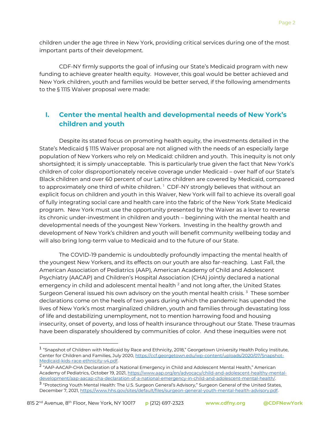children under the age three in New York, providing critical services during one of the most important parts of their development.

CDF-NY firmly supports the goal of infusing our State's Medicaid program with new funding to achieve greater health equity. However, this goal would be better achieved and New York children, youth and families would be better served, if the following amendments to the § 1115 Waiver proposal were made:

## **I. Center the mental health and developmental needs of New York's children and youth**

Despite its stated focus on promoting health equity, the investments detailed in the State's Medicaid § 1115 Waiver proposal are not aligned with the needs of an especially large population of New Yorkers who rely on Medicaid: children and youth. This inequity is not only shortsighted; it is simply unacceptable. This is particularly true given the fact that New York's children of color disproportionately receive coverage under Medicaid – over half of our State's Black children and over 60 percent of our Latinx children are covered by Medicaid, compared to approximately one third of white children.  $^1$  CDF-NY strongly believes that without an  $\,$ explicit focus on children and youth in this Waiver, New York will fail to achieve its overall goal of fully integrating social care and health care into the fabric of the New York State Medicaid program. New York must use the opportunity presented by the Waiver as a lever to reverse its chronic under-investment in children and youth – beginning with the mental health and developmental needs of the youngest New Yorkers. Investing in the healthy growth and development of New York's children and youth will benefit community wellbeing today and will also bring long-term value to Medicaid and to the future of our State.

The COVID-19 pandemic is undoubtedly profoundly impacting the mental health of the youngest New Yorkers, and its effects on our youth are also far-reaching. Last Fall, the American Association of Pediatrics (AAP), American Academy of Child and Adolescent Psychiatry (AACAP) and Children's Hospital Association (CHA) jointly declared a national emergency in child and adolescent mental health <sup>2</sup> and not long after, the United States Surgeon General issued his own advisory on the youth mental health crisis. <sup>3</sup> These somber declarations come on the heels of two years during which the pandemic has upended the lives of New York's most marginalized children, youth and families through devastating loss of life and destabilizing unemployment, not to mention harrowing food and housing insecurity, onset of poverty, and loss of health insurance throughout our State. These traumas have been disparately shouldered by communities of color. And these inequities were not

<sup>&</sup>lt;sup>1</sup> "Snapshot of Children with Medicaid by Race and Ethnicity, 2018," Georgetown University Health Policy Institute, Center for Children and Families, July 2020[, https://ccf.georgetown.edu/wp-content/uploads/2020/07/Snapshot-](https://ccf.georgetown.edu/wp-content/uploads/2020/07/Snapshot-Medicaid-kids-race-ethnicity-v4.pdf)[Medicaid-kids-race-ethnicity-v4.pdf.](https://ccf.georgetown.edu/wp-content/uploads/2020/07/Snapshot-Medicaid-kids-race-ethnicity-v4.pdf) 

<sup>2</sup> "AAP-AACAP-CHA Declaration of a National Emergency in Child and Adolescent Mental Health," American Academy of Pediatrics, October 19, 2021, [https://www.aap.org/en/advocacy/child-and-adolescent-healthy-mental](https://www.aap.org/en/advocacy/child-and-adolescent-healthy-mental-development/aap-aacap-cha-declaration-of-a-national-emergency-in-child-and-adolescent-mental-health/)[development/aap-aacap-cha-declaration-of-a-national-emergency-in-child-and-adolescent-mental-health/.](https://www.aap.org/en/advocacy/child-and-adolescent-healthy-mental-development/aap-aacap-cha-declaration-of-a-national-emergency-in-child-and-adolescent-mental-health/)

<sup>&</sup>lt;sup>3</sup> "Protecting Youth Mental Health: The U.S. Surgeon General's Advisory," Surgeon General of the United States, December 7, 2021, [https://www.hhs.gov/sites/default/files/surgeon-general-youth-mental-health-advisory.pdf.](https://www.hhs.gov/sites/default/files/surgeon-general-youth-mental-health-advisory.pdf)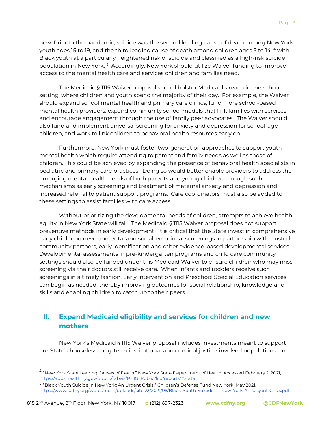new. Prior to the pandemic, suicide was the second leading cause of death among New York youth ages 15 to 19, and the third leading cause of death among children ages 5 to 14, 4 with Black youth at a particularly heightened risk of suicide and classified as a high-risk suicide population in New York. <sup>5</sup> Accordingly, New York should utilize Waiver funding to improve access to the mental health care and services children and families need.

The Medicaid § 1115 Waiver proposal should bolster Medicaid's reach in the school setting, where children and youth spend the majority of their day. For example, the Waiver should expand school mental health and primary care clinics, fund more school-based mental health providers, expand community school models that link families with services and encourage engagement through the use of family peer advocates. The Waiver should also fund and implement universal screening for anxiety and depression for school-age children, and work to link children to behavioral health resources early on.

Furthermore, New York must foster two-generation approaches to support youth mental health which require attending to parent and family needs as well as those of children. This could be achieved by expanding the presence of behavioral health specialists in pediatric and primary care practices. Doing so would better enable providers to address the emerging mental health needs of both parents and young children through such mechanisms as early screening and treatment of maternal anxiety and depression and increased referral to patient support programs. Care coordinators must also be added to these settings to assist families with care access.

Without prioritizing the developmental needs of children, attempts to achieve health equity in New York State will fail. The Medicaid § 1115 Waiver proposal does not support preventive methods in early development. It is critical that the State invest in comprehensive early childhood developmental and social-emotional screenings in partnership with trusted community partners, early identification and other evidence-based developmental services. Developmental assessments in pre-kindergarten programs and child care community settings should also be funded under this Medicaid Waiver to ensure children who may miss screening via their doctors still receive care. When infants and toddlers receive such screenings in a timely fashion, Early Intervention and Preschool Special Education services can begin as needed, thereby improving outcomes for social relationship, knowledge and skills and enabling children to catch up to their peers.

## **II. Expand Medicaid eligibility and services for children and new mothers**

New York's Medicaid § 1115 Waiver proposal includes investments meant to support our State's houseless, long-term institutional and criminal justice-involved populations. In

<sup>4</sup> "New York State Leading Causes of Death," New York State Department of Health, Accessed February 2, 202[1,](https://apps.health.ny.gov/public/tabvis/PHIG_Public/lcd/reports/#state) [https://apps.health.ny.gov/public/tabvis/PHIG\\_Public/lcd/reports/#state.](https://apps.health.ny.gov/public/tabvis/PHIG_Public/lcd/reports/#state)

<sup>5</sup> "Black Youth Suicide in New York: An Urgent Crisis," Children's Defense Fund New York, May 2021, [https://www.cdfny.org/wp-content/uploads/sites/3/2021/05/Black-Youth-Suicide-in-New-York-An-Urgent-Crisis.pdf.](https://www.cdfny.org/wp-content/uploads/sites/3/2021/05/Black-Youth-Suicide-in-New-York-An-Urgent-Crisis.pdf)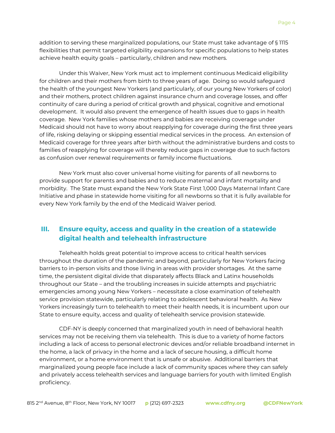addition to serving these marginalized populations, our State must take advantage of § 1115 flexibilities that permit targeted eligibility expansions for specific populations to help states achieve health equity goals – particularly, children and new mothers.

Under this Waiver, New York must act to implement continuous Medicaid eligibility for children and their mothers from birth to three years of age. Doing so would safeguard the health of the youngest New Yorkers (and particularly, of our young New Yorkers of color) and their mothers, protect children against insurance churn and coverage losses, and offer continuity of care during a period of critical growth and physical, cognitive and emotional development. It would also prevent the emergence of health issues due to gaps in health coverage. New York families whose mothers and babies are receiving coverage under Medicaid should not have to worry about reapplying for coverage during the first three years of life, risking delaying or skipping essential medical services in the process. An extension of Medicaid coverage for three years after birth without the administrative burdens and costs to families of reapplying for coverage will thereby reduce gaps in coverage due to such factors as confusion over renewal requirements or family income fluctuations.

New York must also cover universal home visiting for parents of all newborns to provide support for parents and babies and to reduce maternal and infant mortality and morbidity. The State must expand the New York State First 1,000 Days Maternal Infant Care Initiative and phase in statewide home visiting for all newborns so that it is fully available for every New York family by the end of the Medicaid Waiver period.

#### **III. Ensure equity, access and quality in the creation of a statewide digital health and telehealth infrastructure**

Telehealth holds great potential to improve access to critical health services throughout the duration of the pandemic and beyond, particularly for New Yorkers facing barriers to in-person visits and those living in areas with provider shortages. At the same time, the persistent digital divide that disparately affects Black and Latinx households throughout our State – and the troubling increases in suicide attempts and psychiatric emergencies among young New Yorkers – necessitate a close examination of telehealth service provision statewide, particularly relating to adolescent behavioral health. As New Yorkers increasingly turn to telehealth to meet their health needs, it is incumbent upon our State to ensure equity, access and quality of telehealth service provision statewide.

CDF-NY is deeply concerned that marginalized youth in need of behavioral health services may not be receiving them via telehealth. This is due to a variety of home factors including a lack of access to personal electronic devices and/or reliable broadband internet in the home, a lack of privacy in the home and a lack of secure housing, a difficult home environment, or a home environment that is unsafe or abusive. Additional barriers that marginalized young people face include a lack of community spaces where they can safely and privately access telehealth services and language barriers for youth with limited English proficiency.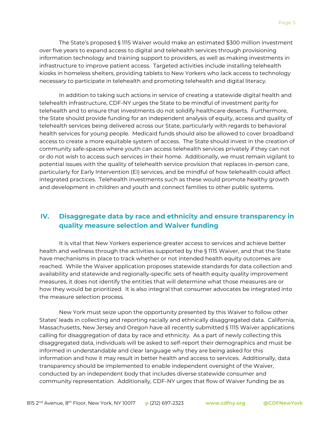The State's proposed § 1115 Waiver would make an estimated \$300 million investment over five years to expand access to digital and telehealth services through provisioning information technology and training support to providers, as well as making investments in infrastructure to improve patient access. Targeted activities include installing telehealth kiosks in homeless shelters, providing tablets to New Yorkers who lack access to technology necessary to participate in telehealth and promoting telehealth and digital literacy.

In addition to taking such actions in service of creating a statewide digital health and telehealth infrastructure, CDF-NY urges the State to be mindful of investment parity for telehealth and to ensure that investments do not solidify healthcare deserts. Furthermore, the State should provide funding for an independent analysis of equity, access and quality of telehealth services being delivered across our State, particularly with regards to behavioral health services for young people. Medicaid funds should also be allowed to cover broadband access to create a more equitable system of access. The State should invest in the creation of community safe-spaces where youth can access telehealth services privately if they can not or do not wish to access such services in their home. Additionally, we must remain vigilant to potential issues with the quality of telehealth service provision that replaces in-person care, particularly for Early Intervention (EI) services, and be mindful of how telehealth could affect integrated practices. Telehealth investments such as these would promote healthy growth and development in children and youth and connect families to other public systems.

### **IV. Disaggregate data by race and ethnicity and ensure transparency in quality measure selection and Waiver funding**

It is vital that New Yorkers experience greater access to services and achieve better health and wellness through the activities supported by the § 1115 Waiver, and that the State have mechanisms in place to track whether or not intended health equity outcomes are reached. While the Waiver application proposes statewide standards for data collection and availability and statewide and regionally-specific sets of health equity quality improvement measures, it does not identify the entities that will determine what those measures are or how they would be prioritized. It is also integral that consumer advocates be integrated into the measure selection process.

New York must seize upon the opportunity presented by this Waiver to follow other States' leads in collecting and reporting racially and ethnically disaggregated data. California, Massachusetts, New Jersey and Oregon have all recently submitted § 1115 Waiver applications calling for disaggregation of data by race and ethnicity. As a part of newly collecting this disaggregated data, individuals will be asked to self-report their demographics and must be informed in understandable and clear language why they are being asked for this information and how it may result in better health and access to services. Additionally, data transparency should be implemented to enable independent oversight of the Waiver, conducted by an independent body that includes diverse statewide consumer and community representation. Additionally, CDF-NY urges that flow of Waiver funding be as